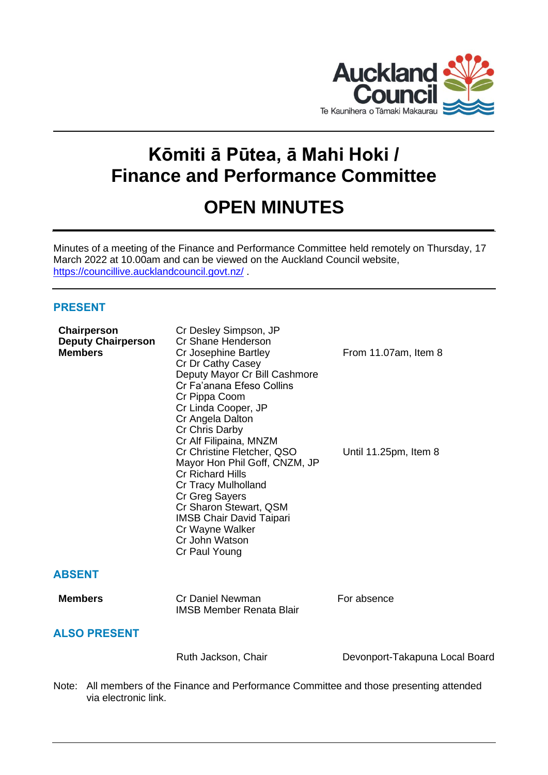

# **Kōmiti ā Pūtea, ā Mahi Hoki / Finance and Performance Committee**

## **OPEN MINUTES**

Minutes of a meeting of the Finance and Performance Committee held remotely on Thursday, 17 March 2022 at 10.00am and can be viewed on the Auckland Council website, <https://councillive.aucklandcouncil.govt.nz/> .

## **PRESENT**

| Chairperson<br><b>Deputy Chairperson</b><br><b>Members</b> | Cr Desley Simpson, JP<br>Cr Shane Henderson<br>Cr Josephine Bartley<br>Cr Dr Cathy Casey<br>Deputy Mayor Cr Bill Cashmore<br>Cr Fa'anana Efeso Collins<br>Cr Pippa Coom<br>Cr Linda Cooper, JP<br>Cr Angela Dalton<br>Cr Chris Darby<br>Cr Alf Filipaina, MNZM<br>Cr Christine Fletcher, QSO<br>Mayor Hon Phil Goff, CNZM, JP<br><b>Cr Richard Hills</b><br><b>Cr Tracy Mulholland</b><br>Cr Greg Sayers<br>Cr Sharon Stewart, QSM<br><b>IMSB Chair David Taipari</b><br>Cr Wayne Walker<br>Cr John Watson<br>Cr Paul Young | From 11.07am, Item 8<br>Until 11.25pm, Item 8 |
|------------------------------------------------------------|-----------------------------------------------------------------------------------------------------------------------------------------------------------------------------------------------------------------------------------------------------------------------------------------------------------------------------------------------------------------------------------------------------------------------------------------------------------------------------------------------------------------------------|-----------------------------------------------|
| <b>ABSENT</b>                                              |                                                                                                                                                                                                                                                                                                                                                                                                                                                                                                                             |                                               |
| <b>Members</b>                                             | Cr Daniel Newman<br><b>IMSB Member Renata Blair</b>                                                                                                                                                                                                                                                                                                                                                                                                                                                                         | For absence                                   |
| <b>ALSO PRESENT</b>                                        |                                                                                                                                                                                                                                                                                                                                                                                                                                                                                                                             |                                               |
|                                                            | Ruth Jackson, Chair                                                                                                                                                                                                                                                                                                                                                                                                                                                                                                         | Devonport-Takapuna Local Board                |
|                                                            |                                                                                                                                                                                                                                                                                                                                                                                                                                                                                                                             |                                               |

Note: All members of the Finance and Performance Committee and those presenting attended via electronic link.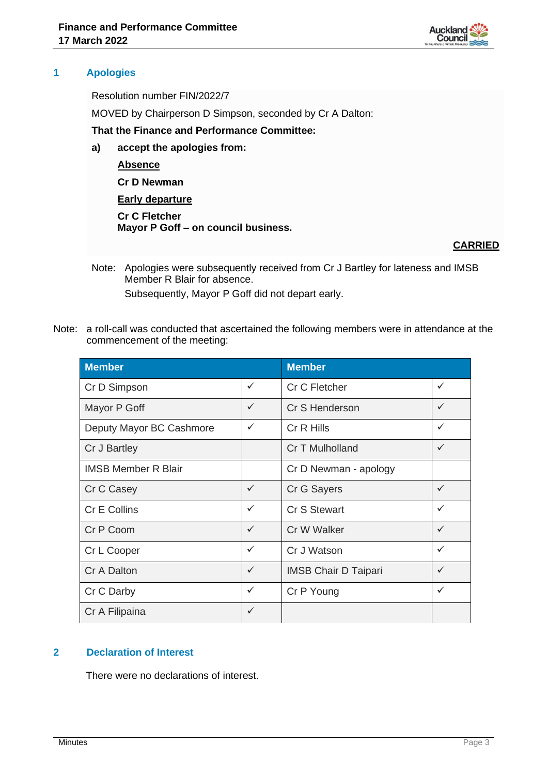

#### **1 Apologies**

Resolution number FIN/2022/7

MOVED by Chairperson D Simpson, seconded by Cr A Dalton:

**That the Finance and Performance Committee:**

**a) accept the apologies from:**

**Absence**

**Cr D Newman**

**Early departure**

**Cr C Fletcher Mayor P Goff – on council business.**

## **CARRIED**

- Note: Apologies were subsequently received from Cr J Bartley for lateness and IMSB Member R Blair for absence. Subsequently, Mayor P Goff did not depart early.
- Note: a roll-call was conducted that ascertained the following members were in attendance at the commencement of the meeting:

| <b>Member</b>              |              | <b>Member</b>               |              |
|----------------------------|--------------|-----------------------------|--------------|
| Cr D Simpson               | $\checkmark$ | Cr C Fletcher               | ✓            |
| Mayor P Goff               | $\checkmark$ | Cr S Henderson              | $\checkmark$ |
| Deputy Mayor BC Cashmore   | $\checkmark$ | Cr R Hills                  | $\checkmark$ |
| Cr J Bartley               |              | Cr T Mulholland             |              |
| <b>IMSB Member R Blair</b> |              | Cr D Newman - apology       |              |
| Cr C Casey                 | $\checkmark$ | Cr G Sayers                 | $\checkmark$ |
| Cr E Collins               | $\checkmark$ | Cr S Stewart                | $\checkmark$ |
| Cr P Coom                  | $\checkmark$ | Cr W Walker                 | $\checkmark$ |
| Cr L Cooper                | $\checkmark$ | Cr J Watson                 | ✓            |
| Cr A Dalton                | $\checkmark$ | <b>IMSB Chair D Taipari</b> | ✓            |
| Cr C Darby                 | $\checkmark$ | Cr P Young                  | ✓            |
| Cr A Filipaina             | $\checkmark$ |                             |              |

## **2 Declaration of Interest**

There were no declarations of interest.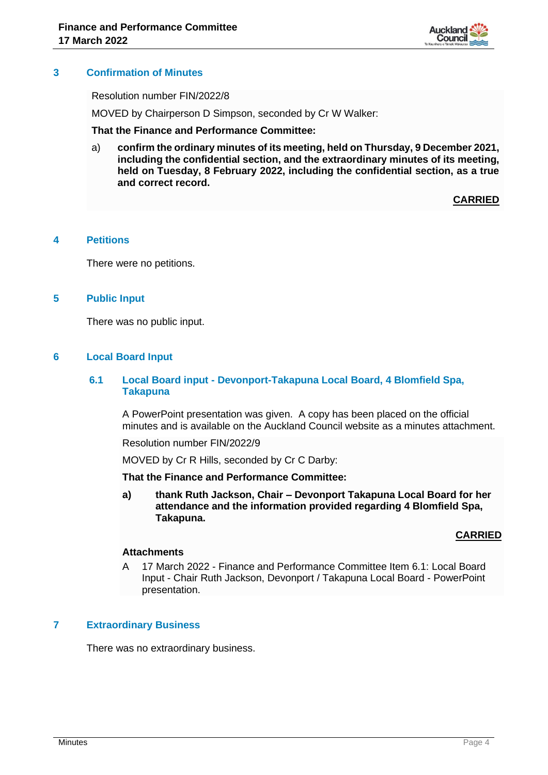

#### **3 Confirmation of Minutes**

Resolution number FIN/2022/8

MOVED by Chairperson D Simpson, seconded by Cr W Walker:

#### **That the Finance and Performance Committee:**

a) **confirm the ordinary minutes of its meeting, held on Thursday, 9 December 2021, including the confidential section, and the extraordinary minutes of its meeting, held on Tuesday, 8 February 2022, including the confidential section, as a true and correct record.**

**CARRIED**

#### **4 Petitions**

There were no petitions.

#### **5 Public Input**

There was no public input.

#### **6 Local Board Input**

#### **6.1 Local Board input - Devonport-Takapuna Local Board, 4 Blomfield Spa, Takapuna**

A PowerPoint presentation was given. A copy has been placed on the official minutes and is available on the Auckland Council website as a minutes attachment.

Resolution number FIN/2022/9

MOVED by Cr R Hills, seconded by Cr C Darby:

**That the Finance and Performance Committee:**

**a) thank Ruth Jackson, Chair – Devonport Takapuna Local Board for her attendance and the information provided regarding 4 Blomfield Spa, Takapuna.**

#### **CARRIED**

#### **Attachments**

A 17 March 2022 - Finance and Performance Committee Item 6.1: Local Board Input - Chair Ruth Jackson, Devonport / Takapuna Local Board - PowerPoint presentation.

#### **7 Extraordinary Business**

There was no extraordinary business.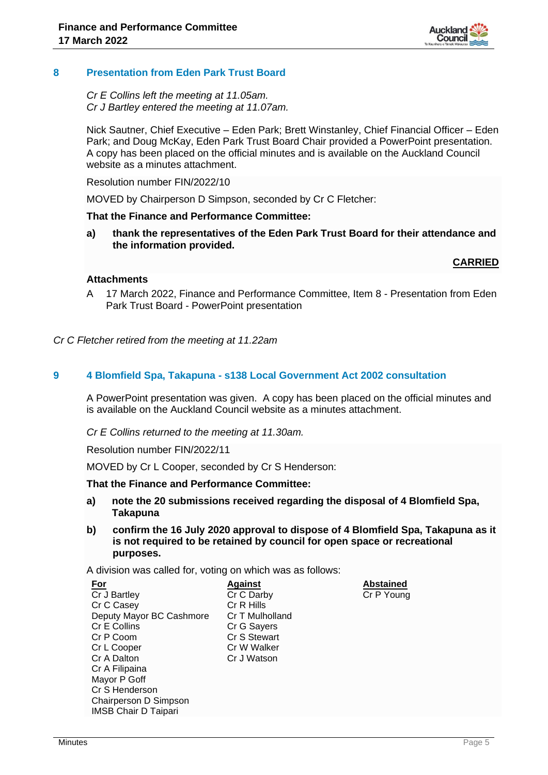

#### **8 Presentation from Eden Park Trust Board**

#### *Cr E Collins left the meeting at 11.05am. Cr J Bartley entered the meeting at 11.07am.*

Nick Sautner, Chief Executive – Eden Park; Brett Winstanley, Chief Financial Officer – Eden Park; and Doug McKay, Eden Park Trust Board Chair provided a PowerPoint presentation. A copy has been placed on the official minutes and is available on the Auckland Council website as a minutes attachment.

Resolution number FIN/2022/10

MOVED by Chairperson D Simpson, seconded by Cr C Fletcher:

#### **That the Finance and Performance Committee:**

**a) thank the representatives of the Eden Park Trust Board for their attendance and the information provided.**

#### **CARRIED**

#### **Attachments**

A 17 March 2022, Finance and Performance Committee, Item 8 - Presentation from Eden Park Trust Board - PowerPoint presentation

*Cr C Fletcher retired from the meeting at 11.22am*

#### **9 4 Blomfield Spa, Takapuna - s138 Local Government Act 2002 consultation**

A PowerPoint presentation was given. A copy has been placed on the official minutes and is available on the Auckland Council website as a minutes attachment.

*Cr E Collins returned to the meeting at 11.30am.*

Resolution number FIN/2022/11

MOVED by Cr L Cooper, seconded by Cr S Henderson:

#### **That the Finance and Performance Committee:**

- **a) note the 20 submissions received regarding the disposal of 4 Blomfield Spa, Takapuna**
- **b) confirm the 16 July 2020 approval to dispose of 4 Blomfield Spa, Takapuna as it is not required to be retained by council for open space or recreational purposes.**

A division was called for, voting on which was as follows:

| <u>For</u>                  | <b>Against</b>  | <b>Abstained</b> |
|-----------------------------|-----------------|------------------|
| Cr J Bartley                | Cr C Darby      | Cr P Young       |
| Cr C Casey                  | Cr R Hills      |                  |
| Deputy Mayor BC Cashmore    | Cr T Mulholland |                  |
| Cr E Collins                | Cr G Sayers     |                  |
| Cr P Coom                   | Cr S Stewart    |                  |
| Cr L Cooper                 | Cr W Walker     |                  |
| Cr A Dalton                 | Cr J Watson     |                  |
| Cr A Filipaina              |                 |                  |
| Mayor P Goff                |                 |                  |
| Cr S Henderson              |                 |                  |
| Chairperson D Simpson       |                 |                  |
| <b>IMSB Chair D Taipari</b> |                 |                  |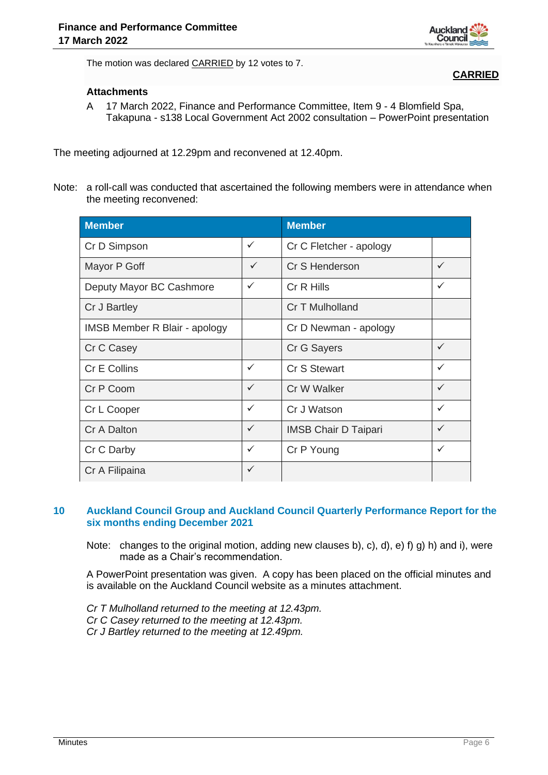

**CARRIED**

The motion was declared CARRIED by 12 votes to 7.

#### **Attachments**

A 17 March 2022, Finance and Performance Committee, Item 9 - 4 Blomfield Spa, Takapuna - s138 Local Government Act 2002 consultation – PowerPoint presentation

The meeting adjourned at 12.29pm and reconvened at 12.40pm.

Note: a roll-call was conducted that ascertained the following members were in attendance when the meeting reconvened:

| <b>Member</b>                        |              | <b>Member</b>               |              |
|--------------------------------------|--------------|-----------------------------|--------------|
| Cr D Simpson                         | ✓            | Cr C Fletcher - apology     |              |
| Mayor P Goff                         | $\checkmark$ | Cr S Henderson              | $\checkmark$ |
| Deputy Mayor BC Cashmore             | ✓            | Cr R Hills                  | $\checkmark$ |
| Cr J Bartley                         |              | Cr T Mulholland             |              |
| <b>IMSB Member R Blair - apology</b> |              | Cr D Newman - apology       |              |
| Cr C Casey                           |              | Cr G Sayers                 | $\checkmark$ |
| <b>Cr E Collins</b>                  | ✓            | <b>Cr S Stewart</b>         | $\checkmark$ |
| Cr P Coom                            | $\checkmark$ | Cr W Walker                 | $\checkmark$ |
| Cr L Cooper                          | ✓            | Cr J Watson                 | $\checkmark$ |
| Cr A Dalton                          | ✓            | <b>IMSB Chair D Taipari</b> | $\checkmark$ |
| Cr C Darby                           | ✓            | Cr P Young                  | $\checkmark$ |
| Cr A Filipaina                       | $\checkmark$ |                             |              |

#### **10 Auckland Council Group and Auckland Council Quarterly Performance Report for the six months ending December 2021**

Note: changes to the original motion, adding new clauses b), c), d), e) f) g) h) and i), were made as a Chair's recommendation.

A PowerPoint presentation was given. A copy has been placed on the official minutes and is available on the Auckland Council website as a minutes attachment.

*Cr T Mulholland returned to the meeting at 12.43pm. Cr C Casey returned to the meeting at 12.43pm. Cr J Bartley returned to the meeting at 12.49pm.*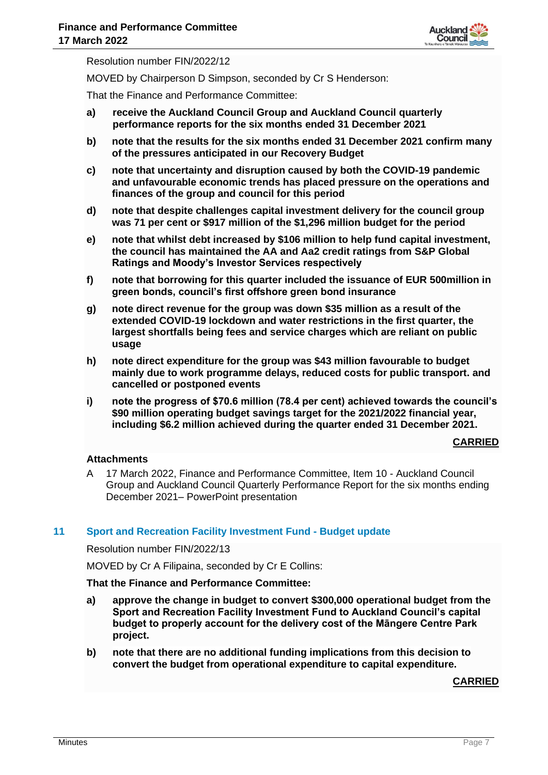

Resolution number FIN/2022/12

MOVED by Chairperson D Simpson, seconded by Cr S Henderson:

That the Finance and Performance Committee:

- **a) receive the Auckland Council Group and Auckland Council quarterly performance reports for the six months ended 31 December 2021**
- **b) note that the results for the six months ended 31 December 2021 confirm many of the pressures anticipated in our Recovery Budget**
- **c) note that uncertainty and disruption caused by both the COVID-19 pandemic and unfavourable economic trends has placed pressure on the operations and finances of the group and council for this period**
- **d) note that despite challenges capital investment delivery for the council group was 71 per cent or \$917 million of the \$1,296 million budget for the period**
- **e) note that whilst debt increased by \$106 million to help fund capital investment, the council has maintained the AA and Aa2 credit ratings from S&P Global Ratings and Moody's Investor Services respectively**
- **f) note that borrowing for this quarter included the issuance of EUR 500million in green bonds, council's first offshore green bond insurance**
- **g) note direct revenue for the group was down \$35 million as a result of the extended COVID-19 lockdown and water restrictions in the first quarter, the largest shortfalls being fees and service charges which are reliant on public usage**
- **h) note direct expenditure for the group was \$43 million favourable to budget mainly due to work programme delays, reduced costs for public transport. and cancelled or postponed events**
- **i) note the progress of \$70.6 million (78.4 per cent) achieved towards the council's \$90 million operating budget savings target for the 2021/2022 financial year, including \$6.2 million achieved during the quarter ended 31 December 2021.**

**CARRIED**

#### **Attachments**

A 17 March 2022, Finance and Performance Committee, Item 10 - Auckland Council Group and Auckland Council Quarterly Performance Report for the six months ending December 2021– PowerPoint presentation

#### **11 Sport and Recreation Facility Investment Fund - Budget update**

Resolution number FIN/2022/13

MOVED by Cr A Filipaina, seconded by Cr E Collins:

### **That the Finance and Performance Committee:**

- **a) approve the change in budget to convert \$300,000 operational budget from the Sport and Recreation Facility Investment Fund to Auckland Council's capital budget to properly account for the delivery cost of the Māngere Centre Park project.**
- **b) note that there are no additional funding implications from this decision to convert the budget from operational expenditure to capital expenditure.**

**CARRIED**